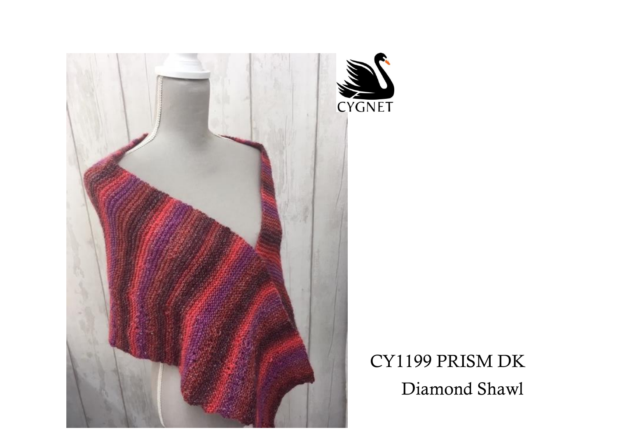

CY1199 PRISM DK Diamond Shawl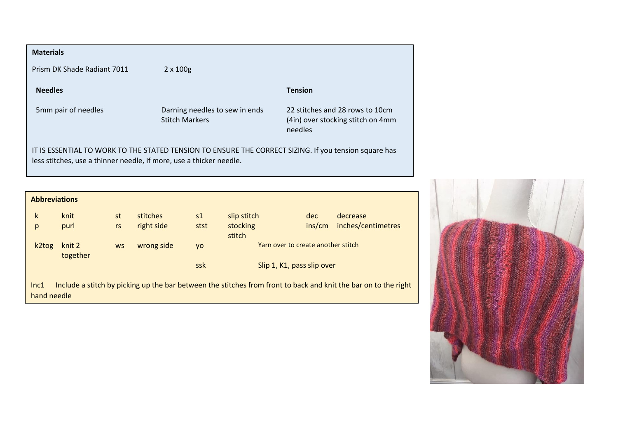| <b>Materials</b>                                                                                                                                                             |                                                         |                                                                                 |  |  |  |  |  |
|------------------------------------------------------------------------------------------------------------------------------------------------------------------------------|---------------------------------------------------------|---------------------------------------------------------------------------------|--|--|--|--|--|
| Prism DK Shade Radiant 7011                                                                                                                                                  | $2 \times 100$ g                                        |                                                                                 |  |  |  |  |  |
| <b>Needles</b>                                                                                                                                                               |                                                         | <b>Tension</b>                                                                  |  |  |  |  |  |
| 5mm pair of needles                                                                                                                                                          | Darning needles to sew in ends<br><b>Stitch Markers</b> | 22 stitches and 28 rows to 10cm<br>(4in) over stocking stitch on 4mm<br>needles |  |  |  |  |  |
| IT IS ESSENTIAL TO WORK TO THE STATED TENSION TO ENSURE THE CORRECT SIZING. If you tension square has<br>less stitches, use a thinner needle, if more, use a thicker needle. |                                                         |                                                                                 |  |  |  |  |  |
|                                                                                                                                                                              |                                                         |                                                                                 |  |  |  |  |  |
| <b>Abbreviations</b>                                                                                                                                                         |                                                         |                                                                                 |  |  |  |  |  |
|                                                                                                                                                                              |                                                         |                                                                                 |  |  |  |  |  |

| k           | knit               | st        | stitches   | s <sub>1</sub> | slip stitch                        | dec    | decrease                                                                                                        |
|-------------|--------------------|-----------|------------|----------------|------------------------------------|--------|-----------------------------------------------------------------------------------------------------------------|
| p           | purl               | rs        | right side | stst           | stocking<br>stitch                 | ins/cm | inches/centimetres                                                                                              |
| k2tog       | knit 2<br>together | <b>WS</b> | wrong side | <b>VO</b>      | Yarn over to create another stitch |        |                                                                                                                 |
|             |                    |           |            | ssk            | Slip 1, K1, pass slip over         |        |                                                                                                                 |
| Inc1        |                    |           |            |                |                                    |        | Include a stitch by picking up the bar between the stitches from front to back and knit the bar on to the right |
| hand needle |                    |           |            |                |                                    |        |                                                                                                                 |

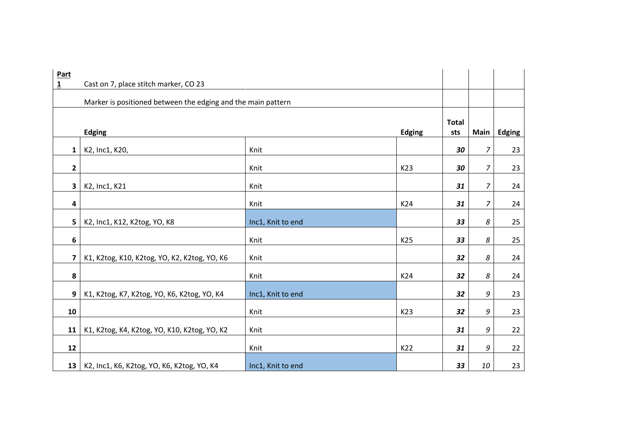| <b>Part</b><br>$\overline{\mathbf{1}}$ | Cast on 7, place stitch marker, CO 23                        |                   |               |                     |                |               |
|----------------------------------------|--------------------------------------------------------------|-------------------|---------------|---------------------|----------------|---------------|
|                                        |                                                              |                   |               |                     |                |               |
|                                        | Marker is positioned between the edging and the main pattern |                   |               |                     |                |               |
|                                        | <b>Edging</b>                                                |                   | <b>Edging</b> | <b>Total</b><br>sts | Main           | <b>Edging</b> |
| $\mathbf{1}$                           | K2, Inc1, K20,                                               | Knit              |               | 30                  | 7              | 23            |
| $\mathbf{2}$                           |                                                              | Knit              | K23           | 30                  | 7              | 23            |
| $\mathbf{3}$                           | K2, Inc1, K21                                                | Knit              |               | 31                  | 7              | 24            |
| 4                                      |                                                              | Knit              | K24           | 31                  | $\overline{z}$ | 24            |
| $5\phantom{a}$                         | K2, Inc1, K12, K2tog, YO, K8                                 | Inc1, Knit to end |               | 33                  | 8              | 25            |
| 6                                      |                                                              | Knit              | K25           | 33                  | 8              | 25            |
| 7                                      | K1, K2tog, K10, K2tog, YO, K2, K2tog, YO, K6                 | Knit              |               | 32                  | 8              | 24            |
| 8                                      |                                                              | Knit              | K24           | 32                  | 8              | 24            |
| 9                                      | K1, K2tog, K7, K2tog, YO, K6, K2tog, YO, K4                  | Inc1, Knit to end |               | 32                  | 9              | 23            |
| 10                                     |                                                              | Knit              | K23           | 32                  | 9              | 23            |
| 11                                     | K1, K2tog, K4, K2tog, YO, K10, K2tog, YO, K2                 | Knit              |               | 31                  | 9              | 22            |
| 12                                     |                                                              | Knit              | K22           | 31                  | 9              | 22            |
| 13                                     | K2, Inc1, K6, K2tog, YO, K6, K2tog, YO, K4                   | Inc1, Knit to end |               | 33                  | 10             | 23            |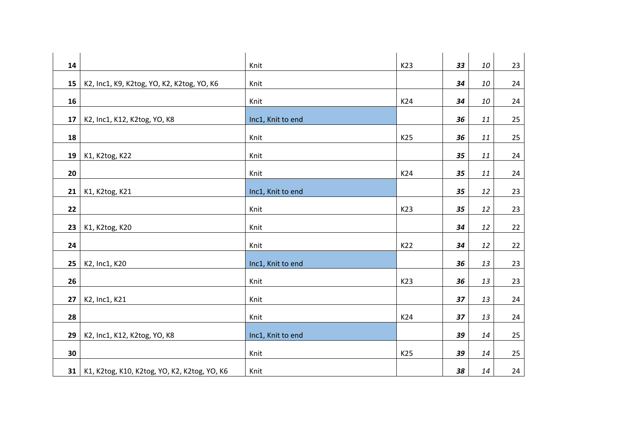| 14 |                                              | Knit              | K23 | 33 | 10 | 23 |
|----|----------------------------------------------|-------------------|-----|----|----|----|
| 15 | K2, Inc1, K9, K2tog, YO, K2, K2tog, YO, K6   | Knit              |     | 34 | 10 | 24 |
| 16 |                                              | Knit              | K24 | 34 | 10 | 24 |
| 17 | K2, Inc1, K12, K2tog, YO, K8                 | Inc1, Knit to end |     | 36 | 11 | 25 |
| 18 |                                              | Knit              | K25 | 36 | 11 | 25 |
| 19 | K1, K2tog, K22                               | Knit              |     | 35 | 11 | 24 |
| 20 |                                              | Knit              | K24 | 35 | 11 | 24 |
| 21 | K1, K2tog, K21                               | Inc1, Knit to end |     | 35 | 12 | 23 |
| 22 |                                              | Knit              | K23 | 35 | 12 | 23 |
| 23 | K1, K2tog, K20                               | Knit              |     | 34 | 12 | 22 |
| 24 |                                              | Knit              | K22 | 34 | 12 | 22 |
| 25 | K2, Inc1, K20                                | Inc1, Knit to end |     | 36 | 13 | 23 |
| 26 |                                              | Knit              | K23 | 36 | 13 | 23 |
| 27 | K2, Inc1, K21                                | Knit              |     | 37 | 13 | 24 |
| 28 |                                              | Knit              | K24 | 37 | 13 | 24 |
| 29 | K2, Inc1, K12, K2tog, YO, K8                 | Inc1, Knit to end |     | 39 | 14 | 25 |
| 30 |                                              | Knit              | K25 | 39 | 14 | 25 |
| 31 | K1, K2tog, K10, K2tog, YO, K2, K2tog, YO, K6 | Knit              |     | 38 | 14 | 24 |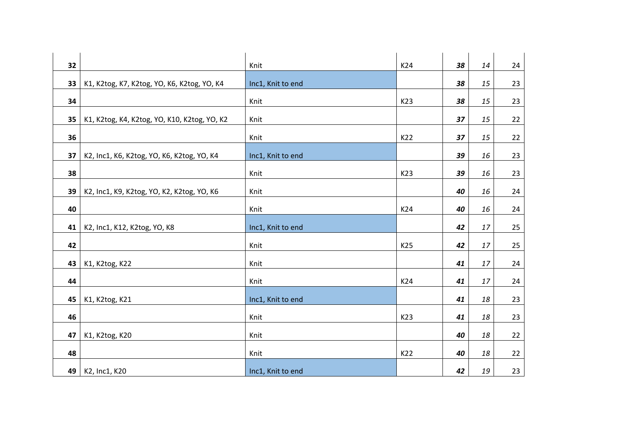| 32 |                                              | Knit              | K24 | 38 | 14 | 24 |
|----|----------------------------------------------|-------------------|-----|----|----|----|
| 33 | K1, K2tog, K7, K2tog, YO, K6, K2tog, YO, K4  | Inc1, Knit to end |     | 38 | 15 | 23 |
| 34 |                                              | Knit              | K23 | 38 | 15 | 23 |
| 35 | K1, K2tog, K4, K2tog, YO, K10, K2tog, YO, K2 | Knit              |     | 37 | 15 | 22 |
| 36 |                                              | Knit              | K22 | 37 | 15 | 22 |
| 37 | K2, Inc1, K6, K2tog, YO, K6, K2tog, YO, K4   | Inc1, Knit to end |     | 39 | 16 | 23 |
| 38 |                                              | Knit              | K23 | 39 | 16 | 23 |
| 39 | K2, Inc1, K9, K2tog, YO, K2, K2tog, YO, K6   | Knit              |     | 40 | 16 | 24 |
| 40 |                                              | Knit              | K24 | 40 | 16 | 24 |
| 41 | K2, Inc1, K12, K2tog, YO, K8                 | Inc1, Knit to end |     | 42 | 17 | 25 |
| 42 |                                              | Knit              | K25 | 42 | 17 | 25 |
| 43 | K1, K2tog, K22                               | Knit              |     | 41 | 17 | 24 |
| 44 |                                              | Knit              | K24 | 41 | 17 | 24 |
| 45 | K1, K2tog, K21                               | Inc1, Knit to end |     | 41 | 18 | 23 |
| 46 |                                              | Knit              | K23 | 41 | 18 | 23 |
| 47 | K1, K2tog, K20                               | Knit              |     | 40 | 18 | 22 |
| 48 |                                              | Knit              | K22 | 40 | 18 | 22 |
| 49 | K2, Inc1, K20                                | Inc1, Knit to end |     | 42 | 19 | 23 |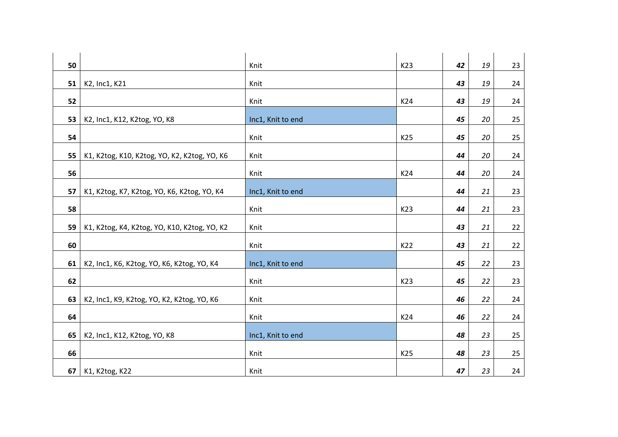| 50 |                                              | Knit              | K23 | 42 | 19 | 23 |
|----|----------------------------------------------|-------------------|-----|----|----|----|
| 51 | K2, Inc1, K21                                | Knit              |     | 43 | 19 | 24 |
| 52 |                                              | Knit              | K24 | 43 | 19 | 24 |
| 53 | K2, Inc1, K12, K2tog, YO, K8                 | Inc1, Knit to end |     | 45 | 20 | 25 |
| 54 |                                              | Knit              | K25 | 45 | 20 | 25 |
| 55 | K1, K2tog, K10, K2tog, YO, K2, K2tog, YO, K6 | Knit              |     | 44 | 20 | 24 |
| 56 |                                              | Knit              | K24 | 44 | 20 | 24 |
| 57 | K1, K2tog, K7, K2tog, YO, K6, K2tog, YO, K4  | Inc1, Knit to end |     | 44 | 21 | 23 |
| 58 |                                              | Knit              | K23 | 44 | 21 | 23 |
| 59 | K1, K2tog, K4, K2tog, YO, K10, K2tog, YO, K2 | Knit              |     | 43 | 21 | 22 |
| 60 |                                              | Knit              | K22 | 43 | 21 | 22 |
| 61 | K2, Inc1, K6, K2tog, YO, K6, K2tog, YO, K4   | Inc1, Knit to end |     | 45 | 22 | 23 |
| 62 |                                              | Knit              | K23 | 45 | 22 | 23 |
| 63 | K2, Inc1, K9, K2tog, YO, K2, K2tog, YO, K6   | Knit              |     | 46 | 22 | 24 |
| 64 |                                              | Knit              | K24 | 46 | 22 | 24 |
| 65 | K2, Inc1, K12, K2tog, YO, K8                 | Inc1, Knit to end |     | 48 | 23 | 25 |
| 66 |                                              | Knit              | K25 | 48 | 23 | 25 |
| 67 | K1, K2tog, K22                               | Knit              |     | 47 | 23 | 24 |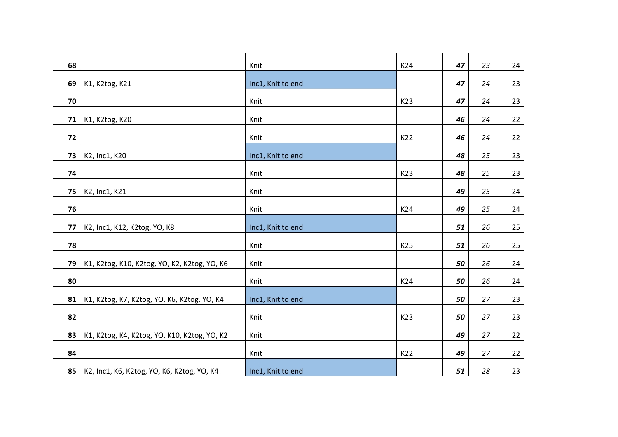| 68 |                                              | Knit              | K24 | 47 | 23 | 24 |
|----|----------------------------------------------|-------------------|-----|----|----|----|
| 69 | K1, K2tog, K21                               | Inc1, Knit to end |     | 47 | 24 | 23 |
| 70 |                                              | Knit              | K23 | 47 | 24 | 23 |
| 71 | K1, K2tog, K20                               | Knit              |     | 46 | 24 | 22 |
| 72 |                                              | Knit              | K22 | 46 | 24 | 22 |
| 73 | K2, Inc1, K20                                | Inc1, Knit to end |     | 48 | 25 | 23 |
| 74 |                                              | Knit              | K23 | 48 | 25 | 23 |
| 75 | K2, Inc1, K21                                | Knit              |     | 49 | 25 | 24 |
| 76 |                                              | Knit              | K24 | 49 | 25 | 24 |
| 77 | K2, Inc1, K12, K2tog, YO, K8                 | Inc1, Knit to end |     | 51 | 26 | 25 |
| 78 |                                              | Knit              | K25 | 51 | 26 | 25 |
| 79 | K1, K2tog, K10, K2tog, YO, K2, K2tog, YO, K6 | Knit              |     | 50 | 26 | 24 |
| 80 |                                              | Knit              | K24 | 50 | 26 | 24 |
| 81 | K1, K2tog, K7, K2tog, YO, K6, K2tog, YO, K4  | Inc1, Knit to end |     | 50 | 27 | 23 |
| 82 |                                              | Knit              | K23 | 50 | 27 | 23 |
| 83 | K1, K2tog, K4, K2tog, YO, K10, K2tog, YO, K2 | Knit              |     | 49 | 27 | 22 |
| 84 |                                              | Knit              | K22 | 49 | 27 | 22 |
| 85 | K2, Inc1, K6, K2tog, YO, K6, K2tog, YO, K4   | Inc1, Knit to end |     | 51 | 28 | 23 |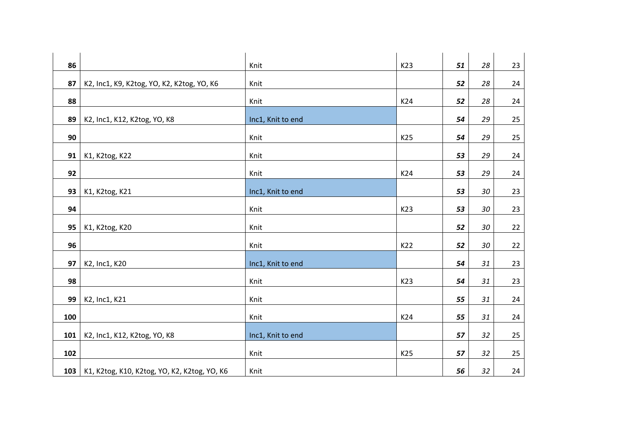| 86  |                                              | Knit              | K23             | 51 | 28 | 23 |
|-----|----------------------------------------------|-------------------|-----------------|----|----|----|
| 87  | K2, Inc1, K9, K2tog, YO, K2, K2tog, YO, K6   | Knit              |                 | 52 | 28 | 24 |
| 88  |                                              | Knit              | K24             | 52 | 28 | 24 |
| 89  | K2, Inc1, K12, K2tog, YO, K8                 | Inc1, Knit to end |                 | 54 | 29 | 25 |
| 90  |                                              | Knit              | K25             | 54 | 29 | 25 |
| 91  | K1, K2tog, K22                               | Knit              |                 | 53 | 29 | 24 |
| 92  |                                              | Knit              | K24             | 53 | 29 | 24 |
| 93  | K1, K2tog, K21                               | Inc1, Knit to end |                 | 53 | 30 | 23 |
| 94  |                                              | Knit              | K23             | 53 | 30 | 23 |
| 95  | K1, K2tog, K20                               | Knit              |                 | 52 | 30 | 22 |
| 96  |                                              | Knit              | K22             | 52 | 30 | 22 |
| 97  | K2, Inc1, K20                                | Inc1, Knit to end |                 | 54 | 31 | 23 |
| 98  |                                              | Knit              | K23             | 54 | 31 | 23 |
| 99  | K2, Inc1, K21                                | Knit              |                 | 55 | 31 | 24 |
| 100 |                                              | Knit              | K24             | 55 | 31 | 24 |
| 101 | K2, Inc1, K12, K2tog, YO, K8                 | Inc1, Knit to end |                 | 57 | 32 | 25 |
| 102 |                                              | Knit              | K <sub>25</sub> | 57 | 32 | 25 |
| 103 | K1, K2tog, K10, K2tog, YO, K2, K2tog, YO, K6 | Knit              |                 | 56 | 32 | 24 |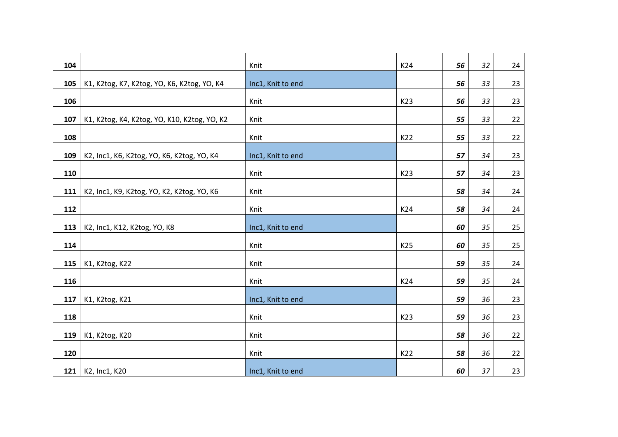| 104 |                                              | Knit              | K24 | 56 | 32 | 24 |
|-----|----------------------------------------------|-------------------|-----|----|----|----|
| 105 | K1, K2tog, K7, K2tog, YO, K6, K2tog, YO, K4  | Inc1, Knit to end |     | 56 | 33 | 23 |
| 106 |                                              | Knit              | K23 | 56 | 33 | 23 |
| 107 | K1, K2tog, K4, K2tog, YO, K10, K2tog, YO, K2 | Knit              |     | 55 | 33 | 22 |
| 108 |                                              | Knit              | K22 | 55 | 33 | 22 |
| 109 | K2, Inc1, K6, K2tog, YO, K6, K2tog, YO, K4   | Inc1, Knit to end |     | 57 | 34 | 23 |
| 110 |                                              | Knit              | K23 | 57 | 34 | 23 |
| 111 | K2, Inc1, K9, K2tog, YO, K2, K2tog, YO, K6   | Knit              |     | 58 | 34 | 24 |
| 112 |                                              | Knit              | K24 | 58 | 34 | 24 |
| 113 | K2, Inc1, K12, K2tog, YO, K8                 | Inc1, Knit to end |     | 60 | 35 | 25 |
| 114 |                                              | Knit              | K25 | 60 | 35 | 25 |
| 115 | K1, K2tog, K22                               | Knit              |     | 59 | 35 | 24 |
| 116 |                                              | Knit              | K24 | 59 | 35 | 24 |
| 117 | K1, K2tog, K21                               | Inc1, Knit to end |     | 59 | 36 | 23 |
| 118 |                                              | Knit              | K23 | 59 | 36 | 23 |
| 119 | K1, K2tog, K20                               | Knit              |     | 58 | 36 | 22 |
| 120 |                                              | Knit              | K22 | 58 | 36 | 22 |
| 121 | K2, Inc1, K20                                | Inc1, Knit to end |     | 60 | 37 | 23 |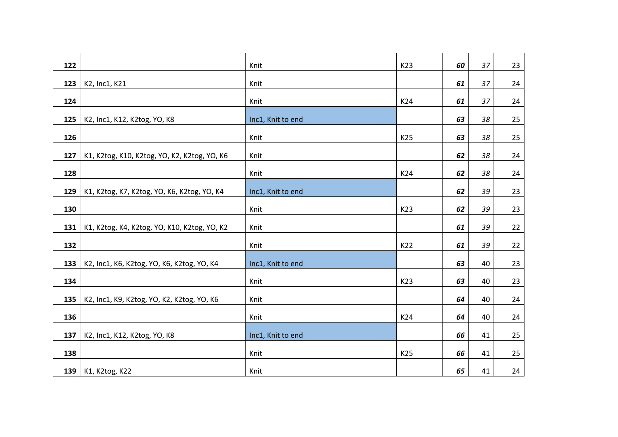| 122 |                                              | Knit              | K23 | 60 | 37 | 23 |
|-----|----------------------------------------------|-------------------|-----|----|----|----|
| 123 | K2, Inc1, K21                                | Knit              |     | 61 | 37 | 24 |
| 124 |                                              | Knit              | K24 | 61 | 37 | 24 |
| 125 | K2, Inc1, K12, K2tog, YO, K8                 | Inc1, Knit to end |     | 63 | 38 | 25 |
| 126 |                                              | Knit              | K25 | 63 | 38 | 25 |
| 127 | K1, K2tog, K10, K2tog, YO, K2, K2tog, YO, K6 | Knit              |     | 62 | 38 | 24 |
| 128 |                                              | Knit              | K24 | 62 | 38 | 24 |
| 129 | K1, K2tog, K7, K2tog, YO, K6, K2tog, YO, K4  | Inc1, Knit to end |     | 62 | 39 | 23 |
| 130 |                                              | Knit              | K23 | 62 | 39 | 23 |
| 131 | K1, K2tog, K4, K2tog, YO, K10, K2tog, YO, K2 | Knit              |     | 61 | 39 | 22 |
| 132 |                                              | Knit              | K22 | 61 | 39 | 22 |
| 133 | K2, Inc1, K6, K2tog, YO, K6, K2tog, YO, K4   | Inc1, Knit to end |     | 63 | 40 | 23 |
| 134 |                                              | Knit              | K23 | 63 | 40 | 23 |
| 135 | K2, Inc1, K9, K2tog, YO, K2, K2tog, YO, K6   | Knit              |     | 64 | 40 | 24 |
| 136 |                                              | Knit              | K24 | 64 | 40 | 24 |
| 137 | K2, Inc1, K12, K2tog, YO, K8                 | Inc1, Knit to end |     | 66 | 41 | 25 |
| 138 |                                              | Knit              | K25 | 66 | 41 | 25 |
| 139 | K1, K2tog, K22                               | Knit              |     | 65 | 41 | 24 |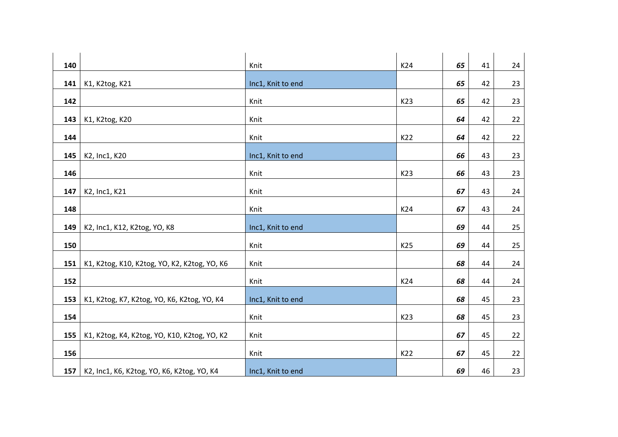| 140 |                                              | Knit              | K24 | 65 | 41 | 24 |
|-----|----------------------------------------------|-------------------|-----|----|----|----|
| 141 | K1, K2tog, K21                               | Inc1, Knit to end |     | 65 | 42 | 23 |
| 142 |                                              | Knit              | K23 | 65 | 42 | 23 |
| 143 | K1, K2tog, K20                               | Knit              |     | 64 | 42 | 22 |
| 144 |                                              | Knit              | K22 | 64 | 42 | 22 |
| 145 | K2, Inc1, K20                                | Inc1, Knit to end |     | 66 | 43 | 23 |
| 146 |                                              | Knit              | K23 | 66 | 43 | 23 |
| 147 | K2, Inc1, K21                                | Knit              |     | 67 | 43 | 24 |
| 148 |                                              | Knit              | K24 | 67 | 43 | 24 |
| 149 | K2, Inc1, K12, K2tog, YO, K8                 | Inc1, Knit to end |     | 69 | 44 | 25 |
| 150 |                                              | Knit              | K25 | 69 | 44 | 25 |
| 151 | K1, K2tog, K10, K2tog, YO, K2, K2tog, YO, K6 | Knit              |     | 68 | 44 | 24 |
| 152 |                                              | Knit              | K24 | 68 | 44 | 24 |
| 153 | K1, K2tog, K7, K2tog, YO, K6, K2tog, YO, K4  | Inc1, Knit to end |     | 68 | 45 | 23 |
| 154 |                                              | Knit              | K23 | 68 | 45 | 23 |
| 155 | K1, K2tog, K4, K2tog, YO, K10, K2tog, YO, K2 | Knit              |     | 67 | 45 | 22 |
| 156 |                                              | Knit              | K22 | 67 | 45 | 22 |
| 157 | K2, Inc1, K6, K2tog, YO, K6, K2tog, YO, K4   | Inc1, Knit to end |     | 69 | 46 | 23 |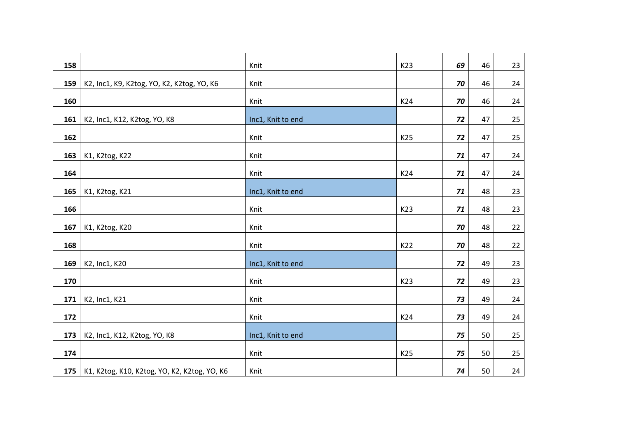| 158 |                                              | Knit              | K23             | 69 | 46 | 23 |
|-----|----------------------------------------------|-------------------|-----------------|----|----|----|
| 159 | K2, Inc1, K9, K2tog, YO, K2, K2tog, YO, K6   | Knit              |                 | 70 | 46 | 24 |
| 160 |                                              | Knit              | K24             | 70 | 46 | 24 |
| 161 | K2, Inc1, K12, K2tog, YO, K8                 | Inc1, Knit to end |                 | 72 | 47 | 25 |
| 162 |                                              | Knit              | K25             | 72 | 47 | 25 |
| 163 | K1, K2tog, K22                               | Knit              |                 | 71 | 47 | 24 |
| 164 |                                              | Knit              | K24             | 71 | 47 | 24 |
| 165 | K1, K2tog, K21                               | Inc1, Knit to end |                 | 71 | 48 | 23 |
| 166 |                                              | Knit              | K23             | 71 | 48 | 23 |
| 167 | K1, K2tog, K20                               | Knit              |                 | 70 | 48 | 22 |
| 168 |                                              | Knit              | K22             | 70 | 48 | 22 |
| 169 | K2, Inc1, K20                                | Inc1, Knit to end |                 | 72 | 49 | 23 |
| 170 |                                              | Knit              | K23             | 72 | 49 | 23 |
| 171 | K2, Inc1, K21                                | Knit              |                 | 73 | 49 | 24 |
| 172 |                                              | Knit              | K24             | 73 | 49 | 24 |
| 173 | K2, Inc1, K12, K2tog, YO, K8                 | Inc1, Knit to end |                 | 75 | 50 | 25 |
| 174 |                                              | Knit              | K <sub>25</sub> | 75 | 50 | 25 |
| 175 | K1, K2tog, K10, K2tog, YO, K2, K2tog, YO, K6 | Knit              |                 | 74 | 50 | 24 |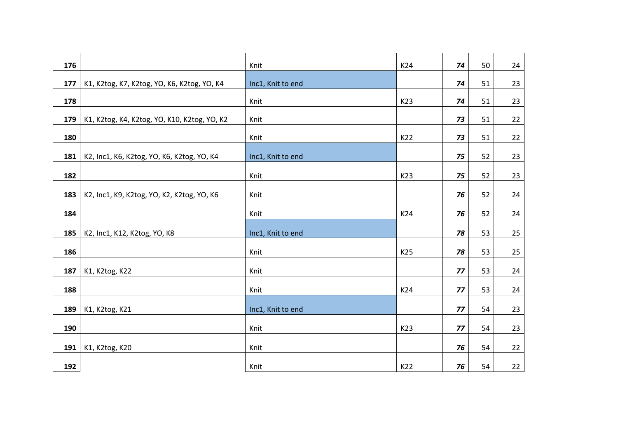| 176 |                                              | Knit              | K24 | 74 | 50 | 24 |
|-----|----------------------------------------------|-------------------|-----|----|----|----|
| 177 | K1, K2tog, K7, K2tog, YO, K6, K2tog, YO, K4  | Inc1, Knit to end |     | 74 | 51 | 23 |
| 178 |                                              | Knit              | K23 | 74 | 51 | 23 |
| 179 | K1, K2tog, K4, K2tog, YO, K10, K2tog, YO, K2 | Knit              |     | 73 | 51 | 22 |
| 180 |                                              | Knit              | K22 | 73 | 51 | 22 |
| 181 | K2, Inc1, K6, K2tog, YO, K6, K2tog, YO, K4   | Inc1, Knit to end |     | 75 | 52 | 23 |
| 182 |                                              | Knit              | K23 | 75 | 52 | 23 |
| 183 | K2, Inc1, K9, K2tog, YO, K2, K2tog, YO, K6   | Knit              |     | 76 | 52 | 24 |
| 184 |                                              | Knit              | K24 | 76 | 52 | 24 |
| 185 |                                              |                   |     | 78 | 53 |    |
|     | K2, Inc1, K12, K2tog, YO, K8                 | Inc1, Knit to end |     |    |    | 25 |
| 186 |                                              | Knit              | K25 | 78 | 53 | 25 |
| 187 | K1, K2tog, K22                               | Knit              |     | 77 | 53 | 24 |
| 188 |                                              | Knit              | K24 | 77 | 53 | 24 |
| 189 | K1, K2tog, K21                               | Inc1, Knit to end |     | 77 | 54 | 23 |
| 190 |                                              | Knit              | K23 | 77 | 54 | 23 |
| 191 |                                              | Knit              |     | 76 | 54 |    |
|     | K1, K2tog, K20                               |                   |     |    |    | 22 |
| 192 |                                              | Knit              | K22 | 76 | 54 | 22 |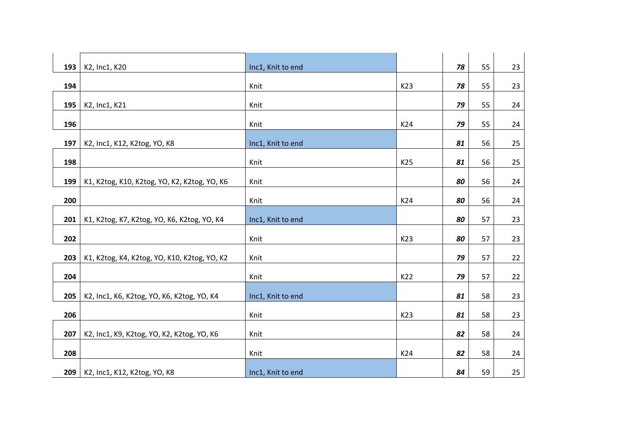| 193 | K2, Inc1, K20                                | Inc1, Knit to end |     | 78 | 55 | 23 |
|-----|----------------------------------------------|-------------------|-----|----|----|----|
| 194 |                                              |                   | K23 | 78 | 55 |    |
|     |                                              | Knit              |     |    |    | 23 |
| 195 | K2, Inc1, K21                                | Knit              |     | 79 | 55 | 24 |
| 196 |                                              | Knit              | K24 | 79 | 55 | 24 |
| 197 | K2, Inc1, K12, K2tog, YO, K8                 | Inc1, Knit to end |     | 81 | 56 | 25 |
| 198 |                                              | Knit              | K25 | 81 | 56 | 25 |
|     |                                              |                   |     |    |    |    |
| 199 | K1, K2tog, K10, K2tog, YO, K2, K2tog, YO, K6 | Knit              |     | 80 | 56 | 24 |
| 200 |                                              | Knit              | K24 | 80 | 56 | 24 |
| 201 | K1, K2tog, K7, K2tog, YO, K6, K2tog, YO, K4  | Inc1, Knit to end |     | 80 | 57 | 23 |
|     |                                              |                   |     |    |    |    |
| 202 |                                              | Knit              | K23 | 80 | 57 | 23 |
| 203 | K1, K2tog, K4, K2tog, YO, K10, K2tog, YO, K2 | Knit              |     | 79 | 57 | 22 |
| 204 |                                              | Knit              | K22 | 79 | 57 | 22 |
| 205 | K2, Inc1, K6, K2tog, YO, K6, K2tog, YO, K4   | Inc1, Knit to end |     | 81 | 58 | 23 |
|     |                                              |                   |     |    |    |    |
| 206 |                                              | Knit              | K23 | 81 | 58 | 23 |
| 207 | K2, Inc1, K9, K2tog, YO, K2, K2tog, YO, K6   | Knit              |     | 82 | 58 | 24 |
| 208 |                                              | Knit              | K24 | 82 | 58 | 24 |
|     |                                              |                   |     |    |    |    |
| 209 | K2, Inc1, K12, K2tog, YO, K8                 | Inc1, Knit to end |     | 84 | 59 | 25 |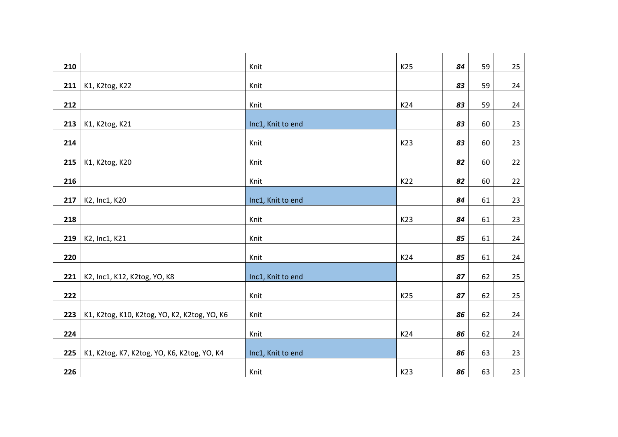| 210 |                                              | Knit              | K25 | 84 | 59 | 25 |
|-----|----------------------------------------------|-------------------|-----|----|----|----|
| 211 | K1, K2tog, K22                               | Knit              |     | 83 | 59 | 24 |
| 212 |                                              | Knit              | K24 | 83 | 59 | 24 |
| 213 | K1, K2tog, K21                               | Inc1, Knit to end |     | 83 | 60 | 23 |
| 214 |                                              | Knit              | K23 | 83 | 60 | 23 |
| 215 | K1, K2tog, K20                               | Knit              |     | 82 | 60 | 22 |
| 216 |                                              | Knit              | K22 | 82 | 60 | 22 |
| 217 | K2, Inc1, K20                                | Inc1, Knit to end |     | 84 | 61 | 23 |
| 218 |                                              | Knit              | K23 | 84 | 61 | 23 |
| 219 | K2, Inc1, K21                                | Knit              |     | 85 | 61 | 24 |
| 220 |                                              | Knit              | K24 | 85 | 61 | 24 |
| 221 | K2, Inc1, K12, K2tog, YO, K8                 | Inc1, Knit to end |     | 87 | 62 | 25 |
| 222 |                                              | Knit              | K25 | 87 | 62 | 25 |
| 223 | K1, K2tog, K10, K2tog, YO, K2, K2tog, YO, K6 | Knit              |     | 86 | 62 | 24 |
| 224 |                                              | Knit              | K24 | 86 | 62 | 24 |
| 225 | K1, K2tog, K7, K2tog, YO, K6, K2tog, YO, K4  | Inc1, Knit to end |     | 86 | 63 | 23 |
| 226 |                                              | Knit              | K23 | 86 | 63 | 23 |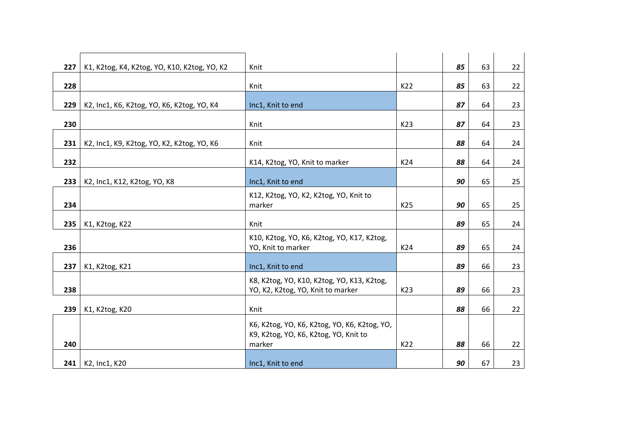| 227 | K1, K2tog, K4, K2tog, YO, K10, K2tog, YO, K2 | Knit                                                                                            |     | 85 | 63 | 22 |
|-----|----------------------------------------------|-------------------------------------------------------------------------------------------------|-----|----|----|----|
| 228 |                                              | Knit                                                                                            | K22 | 85 | 63 | 22 |
| 229 | K2, Inc1, K6, K2tog, YO, K6, K2tog, YO, K4   | Inc1, Knit to end                                                                               |     | 87 | 64 | 23 |
|     |                                              |                                                                                                 |     |    |    |    |
| 230 |                                              | Knit                                                                                            | K23 | 87 | 64 | 23 |
| 231 | K2, Inc1, K9, K2tog, YO, K2, K2tog, YO, K6   | Knit                                                                                            |     | 88 | 64 | 24 |
| 232 |                                              | K14, K2tog, YO, Knit to marker                                                                  | K24 | 88 | 64 | 24 |
| 233 | K2, Inc1, K12, K2tog, YO, K8                 | Inc1, Knit to end                                                                               |     | 90 | 65 | 25 |
| 234 |                                              | K12, K2tog, YO, K2, K2tog, YO, Knit to<br>marker                                                | K25 | 90 | 65 | 25 |
| 235 | K1, K2tog, K22                               | Knit                                                                                            |     | 89 | 65 | 24 |
| 236 |                                              | K10, K2tog, YO, K6, K2tog, YO, K17, K2tog,<br>YO, Knit to marker                                | K24 | 89 | 65 | 24 |
| 237 | K1, K2tog, K21                               | Inc1, Knit to end                                                                               |     | 89 | 66 | 23 |
| 238 |                                              | K8, K2tog, YO, K10, K2tog, YO, K13, K2tog,<br>YO, K2, K2tog, YO, Knit to marker                 | K23 | 89 | 66 | 23 |
| 239 | K1, K2tog, K20                               | Knit                                                                                            |     | 88 | 66 | 22 |
| 240 |                                              | K6, K2tog, YO, K6, K2tog, YO, K6, K2tog, YO,<br>K9, K2tog, YO, K6, K2tog, YO, Knit to<br>marker | K22 | 88 | 66 | 22 |
| 241 | K2, Inc1, K20                                | Inc1, Knit to end                                                                               |     | 90 | 67 | 23 |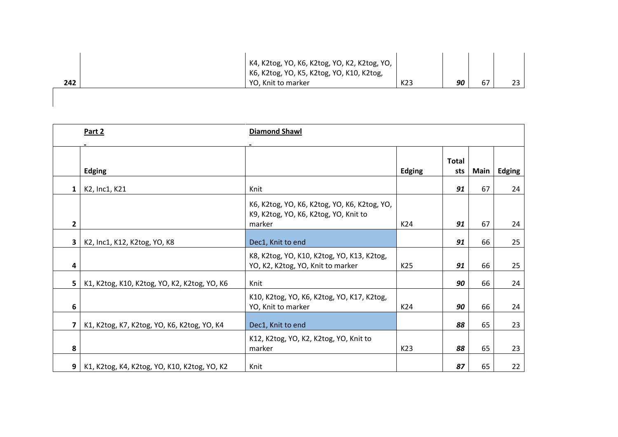|     | K4, K2tog, YO, K6, K2tog, YO, K2, K2tog, YO,<br>K6, K2tog, YO, K5, K2tog, YO, K10, K2tog, |     |    |    |    |
|-----|-------------------------------------------------------------------------------------------|-----|----|----|----|
| 242 | YO, Knit to marker                                                                        | K23 | 90 | 67 | 23 |

|                | Part 2                                       | <b>Diamond Shawl</b>                                                                            |                 |                     |      |               |
|----------------|----------------------------------------------|-------------------------------------------------------------------------------------------------|-----------------|---------------------|------|---------------|
|                | <b>Edging</b>                                |                                                                                                 | <b>Edging</b>   | <b>Total</b><br>sts | Main | <b>Edging</b> |
| $\mathbf{1}$   | K2, Inc1, K21                                | Knit                                                                                            |                 | 91                  | 67   | 24            |
| 2              |                                              | K6, K2tog, YO, K6, K2tog, YO, K6, K2tog, YO,<br>K9, K2tog, YO, K6, K2tog, YO, Knit to<br>marker | K24             | 91                  | 67   | 24            |
| $\mathbf{3}$   | K2, Inc1, K12, K2tog, YO, K8                 | Dec1, Knit to end                                                                               |                 | 91                  | 66   | 25            |
| 4              |                                              | K8, K2tog, YO, K10, K2tog, YO, K13, K2tog,<br>YO, K2, K2tog, YO, Knit to marker                 | K25             | 91                  | 66   | 25            |
| 5              | K1, K2tog, K10, K2tog, YO, K2, K2tog, YO, K6 | Knit                                                                                            |                 | 90                  | 66   | 24            |
| 6              |                                              | K10, K2tog, YO, K6, K2tog, YO, K17, K2tog,<br>YO, Knit to marker                                | K24             | 90                  | 66   | 24            |
| 7              | K1, K2tog, K7, K2tog, YO, K6, K2tog, YO, K4  | Dec1, Knit to end                                                                               |                 | 88                  | 65   | 23            |
| 8              |                                              | K12, K2tog, YO, K2, K2tog, YO, Knit to<br>marker                                                | K <sub>23</sub> | 88                  | 65   | 23            |
| 9 <sub>1</sub> | K1, K2tog, K4, K2tog, YO, K10, K2tog, YO, K2 | Knit                                                                                            |                 | 87                  | 65   | 22            |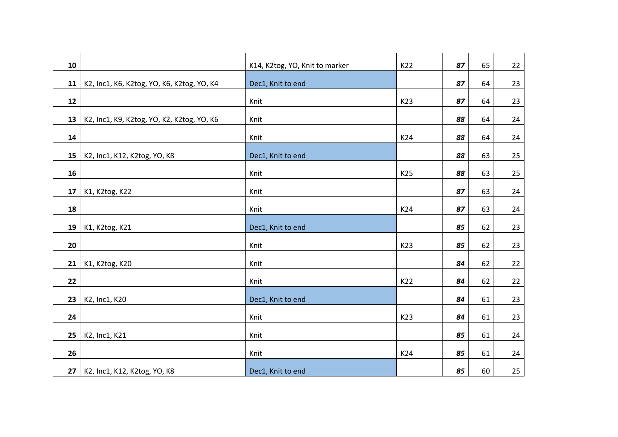| 10 |                                            | K14, K2tog, YO, Knit to marker | K22 | 87 | 65 | 22 |
|----|--------------------------------------------|--------------------------------|-----|----|----|----|
| 11 | K2, Inc1, K6, K2tog, YO, K6, K2tog, YO, K4 | Dec1, Knit to end              |     | 87 | 64 | 23 |
| 12 |                                            | Knit                           | K23 | 87 | 64 | 23 |
| 13 |                                            | Knit                           |     | 88 | 64 |    |
|    | K2, Inc1, K9, K2tog, YO, K2, K2tog, YO, K6 |                                |     |    |    | 24 |
| 14 |                                            | Knit                           | K24 | 88 | 64 | 24 |
| 15 | K2, Inc1, K12, K2tog, YO, K8               | Dec1, Knit to end              |     | 88 | 63 | 25 |
| 16 |                                            | Knit                           | K25 | 88 | 63 | 25 |
| 17 | K1, K2tog, K22                             | Knit                           |     | 87 | 63 | 24 |
| 18 |                                            | Knit                           | K24 | 87 | 63 | 24 |
| 19 | K1, K2tog, K21                             | Dec1, Knit to end              |     | 85 | 62 | 23 |
|    |                                            |                                |     |    |    |    |
| 20 |                                            | Knit                           | K23 | 85 | 62 | 23 |
| 21 | K1, K2tog, K20                             | Knit                           |     | 84 | 62 | 22 |
| 22 |                                            | Knit                           | K22 | 84 | 62 | 22 |
| 23 | K2, Inc1, K20                              | Dec1, Knit to end              |     | 84 | 61 | 23 |
| 24 |                                            | Knit                           | K23 | 84 | 61 |    |
|    |                                            |                                |     |    |    | 23 |
| 25 | K2, Inc1, K21                              | Knit                           |     | 85 | 61 | 24 |
| 26 |                                            | Knit                           | K24 | 85 | 61 | 24 |
| 27 | K2, Inc1, K12, K2tog, YO, K8               | Dec1, Knit to end              |     | 85 | 60 | 25 |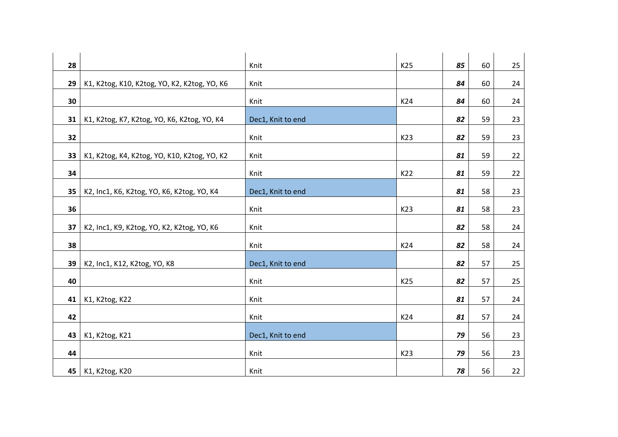|    |                                              |                   | K25 | 85 | 60 |    |
|----|----------------------------------------------|-------------------|-----|----|----|----|
| 28 |                                              | Knit              |     |    |    | 25 |
| 29 | K1, K2tog, K10, K2tog, YO, K2, K2tog, YO, K6 | Knit              |     | 84 | 60 | 24 |
| 30 |                                              | Knit              | K24 | 84 | 60 | 24 |
| 31 | K1, K2tog, K7, K2tog, YO, K6, K2tog, YO, K4  | Dec1, Knit to end |     | 82 | 59 | 23 |
| 32 |                                              | Knit              | K23 | 82 | 59 | 23 |
| 33 | K1, K2tog, K4, K2tog, YO, K10, K2tog, YO, K2 | Knit              |     | 81 | 59 | 22 |
| 34 |                                              | Knit              | K22 | 81 | 59 | 22 |
| 35 | K2, Inc1, K6, K2tog, YO, K6, K2tog, YO, K4   | Dec1, Knit to end |     | 81 | 58 | 23 |
| 36 |                                              | Knit              | K23 | 81 | 58 | 23 |
| 37 | K2, Inc1, K9, K2tog, YO, K2, K2tog, YO, K6   | Knit              |     | 82 | 58 | 24 |
| 38 |                                              | Knit              | K24 | 82 | 58 | 24 |
| 39 | K2, Inc1, K12, K2tog, YO, K8                 | Dec1, Knit to end |     | 82 | 57 | 25 |
| 40 |                                              | Knit              | K25 | 82 | 57 | 25 |
| 41 | K1, K2tog, K22                               | Knit              |     | 81 | 57 | 24 |
| 42 |                                              | Knit              | K24 | 81 | 57 | 24 |
| 43 | K1, K2tog, K21                               | Dec1, Knit to end |     | 79 | 56 | 23 |
| 44 |                                              | Knit              | K23 | 79 | 56 | 23 |
| 45 | K1, K2tog, K20                               | Knit              |     | 78 | 56 | 22 |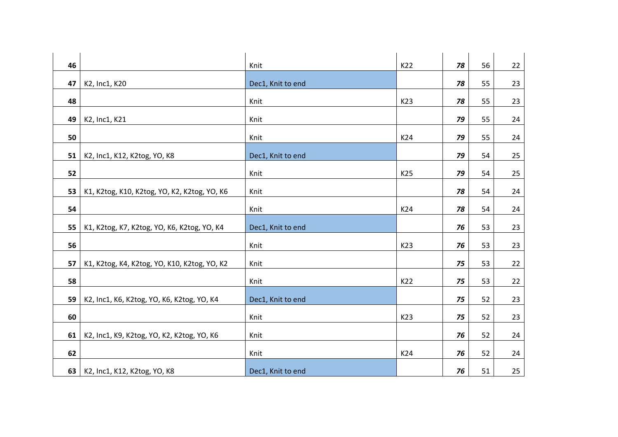| 46 |                                              | Knit              | K22 | 78 | 56 | 22     |
|----|----------------------------------------------|-------------------|-----|----|----|--------|
| 47 | K2, Inc1, K20                                | Dec1, Knit to end |     | 78 | 55 | 23     |
| 48 |                                              | Knit              | K23 | 78 | 55 | 23     |
| 49 | K2, Inc1, K21                                | Knit              |     | 79 | 55 | 24     |
| 50 |                                              | Knit              | K24 | 79 | 55 | 24     |
| 51 | K2, Inc1, K12, K2tog, YO, K8                 | Dec1, Knit to end |     | 79 | 54 | $25\,$ |
| 52 |                                              | Knit              | K25 | 79 | 54 | 25     |
|    |                                              |                   |     |    |    |        |
| 53 | K1, K2tog, K10, K2tog, YO, K2, K2tog, YO, K6 | Knit              |     | 78 | 54 | 24     |
| 54 |                                              | Knit              | K24 | 78 | 54 | 24     |
| 55 | K1, K2tog, K7, K2tog, YO, K6, K2tog, YO, K4  | Dec1, Knit to end |     | 76 | 53 | 23     |
| 56 |                                              | Knit              | K23 | 76 | 53 | 23     |
| 57 | K1, K2tog, K4, K2tog, YO, K10, K2tog, YO, K2 | Knit              |     | 75 | 53 | 22     |
| 58 |                                              | Knit              | K22 | 75 | 53 | 22     |
| 59 | K2, Inc1, K6, K2tog, YO, K6, K2tog, YO, K4   | Dec1, Knit to end |     | 75 | 52 | 23     |
| 60 |                                              | Knit              | K23 | 75 | 52 | 23     |
|    |                                              |                   |     |    |    |        |
| 61 | K2, Inc1, K9, K2tog, YO, K2, K2tog, YO, K6   | Knit              |     | 76 | 52 | 24     |
| 62 |                                              | Knit              | K24 | 76 | 52 | 24     |
| 63 | K2, Inc1, K12, K2tog, YO, K8                 | Dec1, Knit to end |     | 76 | 51 | 25     |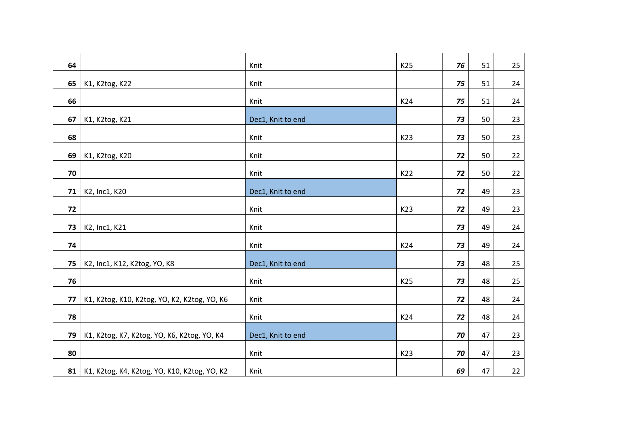| 64 |                                              | Knit              | K25 | 76 | 51 | 25 |
|----|----------------------------------------------|-------------------|-----|----|----|----|
| 65 | K1, K2tog, K22                               | Knit              |     | 75 | 51 | 24 |
| 66 |                                              | Knit              | K24 | 75 | 51 | 24 |
| 67 | K1, K2tog, K21                               | Dec1, Knit to end |     | 73 | 50 | 23 |
| 68 |                                              | Knit              | K23 | 73 | 50 | 23 |
| 69 | K1, K2tog, K20                               | Knit              |     | 72 | 50 | 22 |
| 70 |                                              | Knit              | K22 | 72 | 50 | 22 |
| 71 | K2, Inc1, K20                                | Dec1, Knit to end |     | 72 | 49 | 23 |
| 72 |                                              | Knit              | K23 | 72 | 49 | 23 |
| 73 | K2, Inc1, K21                                | Knit              |     | 73 | 49 | 24 |
| 74 |                                              | Knit              | K24 | 73 | 49 | 24 |
| 75 | K2, Inc1, K12, K2tog, YO, K8                 | Dec1, Knit to end |     | 73 | 48 | 25 |
| 76 |                                              | Knit              | K25 | 73 | 48 | 25 |
| 77 | K1, K2tog, K10, K2tog, YO, K2, K2tog, YO, K6 | Knit              |     | 72 | 48 | 24 |
| 78 |                                              | Knit              | K24 | 72 | 48 | 24 |
| 79 | K1, K2tog, K7, K2tog, YO, K6, K2tog, YO, K4  | Dec1, Knit to end |     | 70 | 47 | 23 |
| 80 |                                              | Knit              | K23 | 70 | 47 | 23 |
| 81 | K1, K2tog, K4, K2tog, YO, K10, K2tog, YO, K2 | Knit              |     | 69 | 47 | 22 |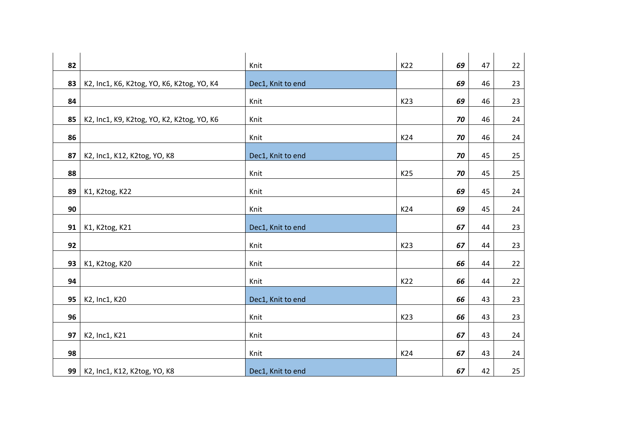| 82 |                                            | Knit              | K22 | 69 | 47 | 22     |
|----|--------------------------------------------|-------------------|-----|----|----|--------|
| 83 | K2, Inc1, K6, K2tog, YO, K6, K2tog, YO, K4 | Dec1, Knit to end |     | 69 | 46 | 23     |
| 84 |                                            | Knit              | K23 | 69 | 46 | 23     |
| 85 | K2, Inc1, K9, K2tog, YO, K2, K2tog, YO, K6 | Knit              |     | 70 | 46 | 24     |
| 86 |                                            | Knit              | K24 | 70 | 46 | 24     |
| 87 | K2, Inc1, K12, K2tog, YO, K8               | Dec1, Knit to end |     | 70 | 45 | $25\,$ |
| 88 |                                            | Knit              | K25 | 70 | 45 | 25     |
| 89 | K1, K2tog, K22                             | Knit              |     | 69 | 45 | 24     |
| 90 |                                            | Knit              | K24 | 69 | 45 | 24     |
| 91 | K1, K2tog, K21                             | Dec1, Knit to end |     | 67 | 44 | 23     |
| 92 |                                            | Knit              | K23 | 67 | 44 | 23     |
| 93 | K1, K2tog, K20                             | Knit              |     | 66 | 44 | 22     |
| 94 |                                            | Knit              | K22 | 66 | 44 | 22     |
| 95 | K2, Inc1, K20                              | Dec1, Knit to end |     | 66 | 43 | 23     |
| 96 |                                            | Knit              | K23 | 66 | 43 | 23     |
| 97 | K2, Inc1, K21                              | Knit              |     | 67 | 43 | 24     |
| 98 |                                            | Knit              | K24 | 67 | 43 | 24     |
| 99 | K2, Inc1, K12, K2tog, YO, K8               | Dec1, Knit to end |     | 67 | 42 | 25     |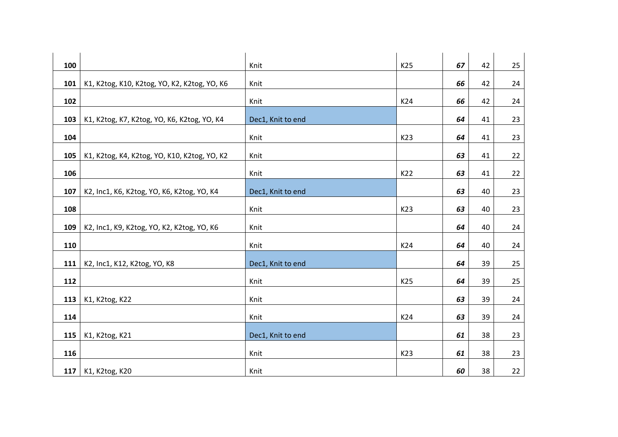| 100 |                                              |                   | K25 | 67 | 42 |    |
|-----|----------------------------------------------|-------------------|-----|----|----|----|
|     |                                              | Knit              |     |    |    | 25 |
| 101 | K1, K2tog, K10, K2tog, YO, K2, K2tog, YO, K6 | Knit              |     | 66 | 42 | 24 |
| 102 |                                              | Knit              | K24 | 66 | 42 | 24 |
| 103 | K1, K2tog, K7, K2tog, YO, K6, K2tog, YO, K4  | Dec1, Knit to end |     | 64 | 41 | 23 |
| 104 |                                              | Knit              | K23 | 64 | 41 | 23 |
| 105 | K1, K2tog, K4, K2tog, YO, K10, K2tog, YO, K2 | Knit              |     | 63 | 41 | 22 |
| 106 |                                              | Knit              | K22 | 63 | 41 | 22 |
| 107 | K2, Inc1, K6, K2tog, YO, K6, K2tog, YO, K4   | Dec1, Knit to end |     | 63 | 40 | 23 |
| 108 |                                              | Knit              | K23 | 63 | 40 | 23 |
| 109 | K2, Inc1, K9, K2tog, YO, K2, K2tog, YO, K6   | Knit              |     | 64 | 40 | 24 |
| 110 |                                              | Knit              | K24 | 64 | 40 | 24 |
| 111 | K2, Inc1, K12, K2tog, YO, K8                 | Dec1, Knit to end |     | 64 | 39 | 25 |
| 112 |                                              | Knit              | K25 | 64 | 39 | 25 |
| 113 | K1, K2tog, K22                               | Knit              |     | 63 | 39 | 24 |
| 114 |                                              | Knit              | K24 | 63 | 39 | 24 |
| 115 | K1, K2tog, K21                               | Dec1, Knit to end |     | 61 | 38 | 23 |
| 116 |                                              | Knit              | K23 | 61 | 38 | 23 |
| 117 | K1, K2tog, K20                               | Knit              |     | 60 | 38 | 22 |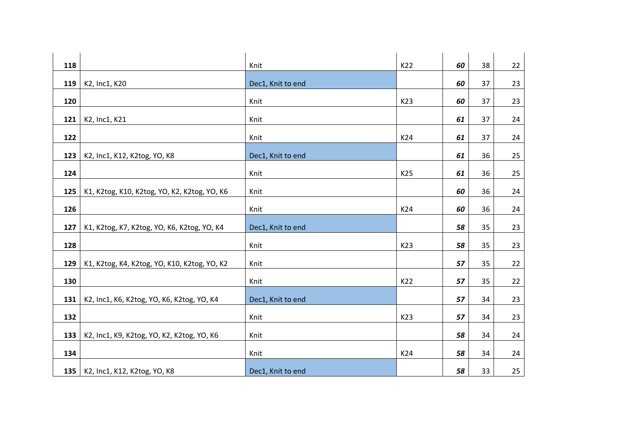| 118 |                                              | Knit              | K22 | 60 | 38 | 22 |
|-----|----------------------------------------------|-------------------|-----|----|----|----|
| 119 | K2, Inc1, K20                                | Dec1, Knit to end |     | 60 | 37 | 23 |
| 120 |                                              | Knit              | K23 | 60 | 37 | 23 |
| 121 | K2, Inc1, K21                                | Knit              |     | 61 | 37 | 24 |
| 122 |                                              | Knit              | K24 | 61 | 37 | 24 |
| 123 | K2, Inc1, K12, K2tog, YO, K8                 | Dec1, Knit to end |     | 61 | 36 | 25 |
| 124 |                                              | Knit              | K25 | 61 | 36 | 25 |
| 125 | K1, K2tog, K10, K2tog, YO, K2, K2tog, YO, K6 | Knit              |     | 60 | 36 | 24 |
| 126 |                                              | Knit              | K24 | 60 | 36 | 24 |
| 127 | K1, K2tog, K7, K2tog, YO, K6, K2tog, YO, K4  | Dec1, Knit to end |     | 58 | 35 | 23 |
| 128 |                                              | Knit              | K23 | 58 | 35 | 23 |
|     |                                              |                   |     |    |    |    |
| 129 | K1, K2tog, K4, K2tog, YO, K10, K2tog, YO, K2 | Knit              |     | 57 | 35 | 22 |
| 130 |                                              | Knit              | K22 | 57 | 35 | 22 |
| 131 | K2, Inc1, K6, K2tog, YO, K6, K2tog, YO, K4   | Dec1, Knit to end |     | 57 | 34 | 23 |
| 132 |                                              | Knit              | K23 | 57 | 34 | 23 |
| 133 | K2, Inc1, K9, K2tog, YO, K2, K2tog, YO, K6   | Knit              |     | 58 | 34 | 24 |
| 134 |                                              | Knit              | K24 | 58 | 34 | 24 |
| 135 | K2, Inc1, K12, K2tog, YO, K8                 | Dec1, Knit to end |     | 58 | 33 | 25 |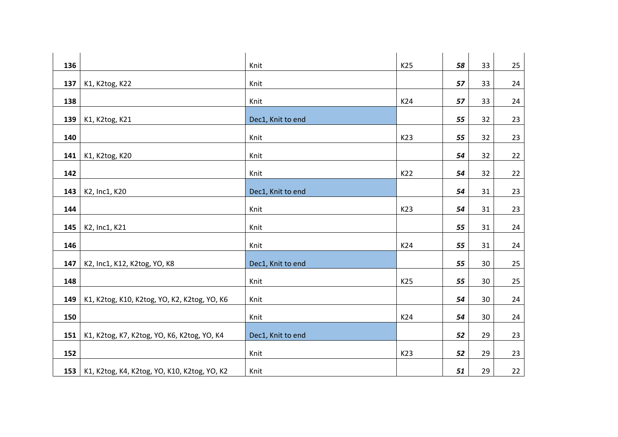| 136 |                                                    | Knit              | K25 | 58 | 33 | 25 |
|-----|----------------------------------------------------|-------------------|-----|----|----|----|
| 137 | K1, K2tog, K22                                     | Knit              |     | 57 | 33 | 24 |
| 138 |                                                    | Knit              | K24 | 57 | 33 | 24 |
| 139 | K1, K2tog, K21                                     | Dec1, Knit to end |     | 55 | 32 | 23 |
| 140 |                                                    | Knit              | K23 | 55 | 32 | 23 |
| 141 | K1, K2tog, K20                                     | Knit              |     | 54 | 32 | 22 |
| 142 |                                                    | Knit              | K22 | 54 | 32 | 22 |
| 143 | K2, Inc1, K20                                      | Dec1, Knit to end |     | 54 | 31 | 23 |
| 144 |                                                    | Knit              | K23 | 54 | 31 | 23 |
| 145 | K2, Inc1, K21                                      | Knit              |     | 55 | 31 | 24 |
| 146 |                                                    | Knit              | K24 | 55 | 31 | 24 |
| 147 | K2, Inc1, K12, K2tog, YO, K8                       | Dec1, Knit to end |     | 55 | 30 | 25 |
| 148 |                                                    | Knit              | K25 | 55 | 30 | 25 |
| 149 | K1, K2tog, K10, K2tog, YO, K2, K2tog, YO, K6       | Knit              |     | 54 | 30 | 24 |
| 150 |                                                    | Knit              | K24 | 54 | 30 | 24 |
| 151 | K1, K2tog, K7, K2tog, YO, K6, K2tog, YO, K4        | Dec1, Knit to end |     | 52 | 29 | 23 |
| 152 |                                                    | Knit              | K23 | 52 | 29 | 23 |
|     | 153   K1, K2tog, K4, K2tog, YO, K10, K2tog, YO, K2 | Knit              |     | 51 | 29 | 22 |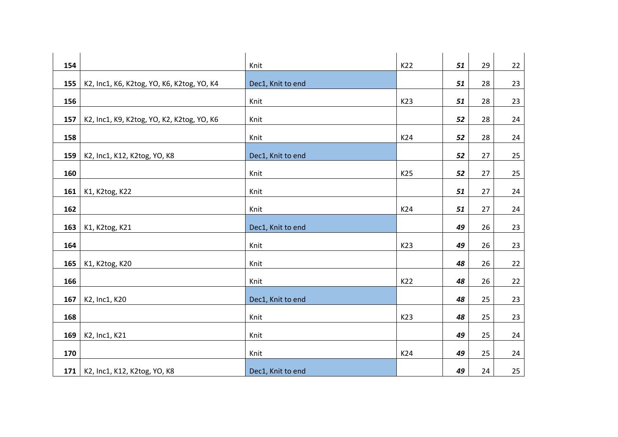| 154 |                                            | Knit              | K22 | 51 | 29 | 22 |
|-----|--------------------------------------------|-------------------|-----|----|----|----|
| 155 | K2, Inc1, K6, K2tog, YO, K6, K2tog, YO, K4 | Dec1, Knit to end |     | 51 | 28 | 23 |
| 156 |                                            | Knit              | K23 | 51 | 28 | 23 |
| 157 | K2, Inc1, K9, K2tog, YO, K2, K2tog, YO, K6 | Knit              |     | 52 | 28 | 24 |
| 158 |                                            | Knit              | K24 | 52 | 28 | 24 |
| 159 | K2, Inc1, K12, K2tog, YO, K8               | Dec1, Knit to end |     | 52 | 27 | 25 |
| 160 |                                            | Knit              | K25 | 52 | 27 | 25 |
| 161 | K1, K2tog, K22                             | Knit              |     | 51 | 27 | 24 |
| 162 |                                            | Knit              | K24 | 51 | 27 | 24 |
| 163 | K1, K2tog, K21                             | Dec1, Knit to end |     | 49 | 26 | 23 |
| 164 |                                            | Knit              | K23 | 49 | 26 | 23 |
| 165 | K1, K2tog, K20                             | Knit              |     | 48 | 26 | 22 |
| 166 |                                            | Knit              | K22 | 48 | 26 | 22 |
| 167 | K2, Inc1, K20                              | Dec1, Knit to end |     | 48 | 25 | 23 |
| 168 |                                            | Knit              | K23 | 48 | 25 | 23 |
| 169 | K2, Inc1, K21                              | Knit              |     | 49 | 25 | 24 |
| 170 |                                            | Knit              | K24 | 49 | 25 | 24 |
| 171 | K2, Inc1, K12, K2tog, YO, K8               | Dec1, Knit to end |     | 49 | 24 | 25 |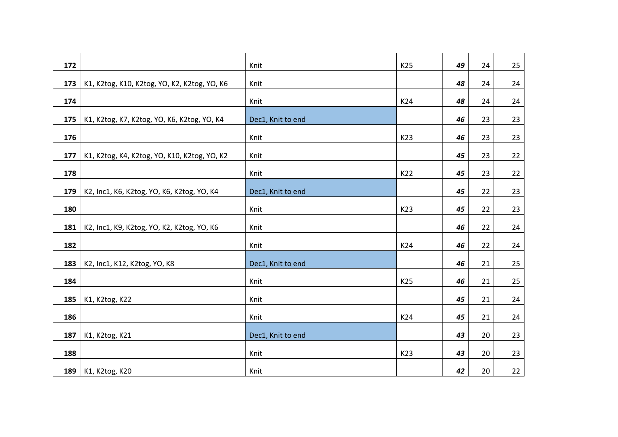| 172 |                                              |                   | K25 | 49 | 24 |    |
|-----|----------------------------------------------|-------------------|-----|----|----|----|
|     |                                              | Knit              |     |    |    | 25 |
| 173 | K1, K2tog, K10, K2tog, YO, K2, K2tog, YO, K6 | Knit              |     | 48 | 24 | 24 |
| 174 |                                              | Knit              | K24 | 48 | 24 | 24 |
| 175 | K1, K2tog, K7, K2tog, YO, K6, K2tog, YO, K4  | Dec1, Knit to end |     | 46 | 23 | 23 |
| 176 |                                              | Knit              | K23 | 46 | 23 | 23 |
| 177 | K1, K2tog, K4, K2tog, YO, K10, K2tog, YO, K2 | Knit              |     | 45 | 23 | 22 |
| 178 |                                              | Knit              | K22 | 45 | 23 | 22 |
| 179 | K2, Inc1, K6, K2tog, YO, K6, K2tog, YO, K4   | Dec1, Knit to end |     | 45 | 22 | 23 |
| 180 |                                              | Knit              | K23 | 45 | 22 | 23 |
| 181 | K2, Inc1, K9, K2tog, YO, K2, K2tog, YO, K6   | Knit              |     | 46 | 22 | 24 |
| 182 |                                              | Knit              | K24 | 46 | 22 | 24 |
| 183 | K2, Inc1, K12, K2tog, YO, K8                 | Dec1, Knit to end |     | 46 | 21 | 25 |
| 184 |                                              | Knit              | K25 | 46 | 21 | 25 |
| 185 | K1, K2tog, K22                               | Knit              |     | 45 | 21 | 24 |
| 186 |                                              | Knit              | K24 | 45 | 21 | 24 |
| 187 | K1, K2tog, K21                               | Dec1, Knit to end |     | 43 | 20 | 23 |
| 188 |                                              | Knit              | K23 | 43 | 20 | 23 |
| 189 | K1, K2tog, K20                               | Knit              |     | 42 | 20 | 22 |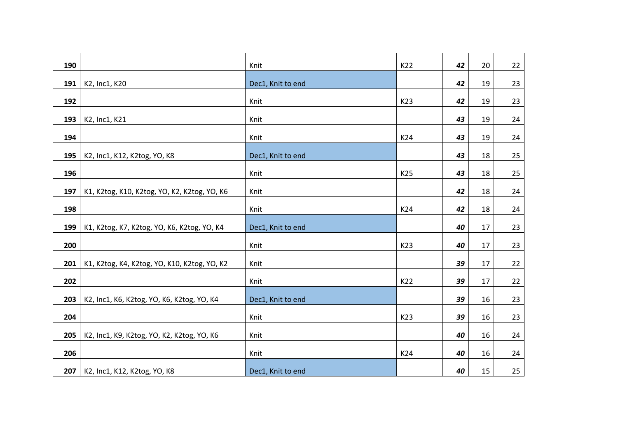| 190 |                                              | Knit              | K22 | 42 | 20 | 22 |
|-----|----------------------------------------------|-------------------|-----|----|----|----|
| 191 | K2, Inc1, K20                                | Dec1, Knit to end |     | 42 | 19 | 23 |
| 192 |                                              | Knit              | K23 | 42 | 19 | 23 |
| 193 | K2, Inc1, K21                                | Knit              |     | 43 | 19 | 24 |
| 194 |                                              | Knit              | K24 | 43 | 19 | 24 |
| 195 | K2, Inc1, K12, K2tog, YO, K8                 | Dec1, Knit to end |     | 43 | 18 | 25 |
| 196 |                                              | Knit              | K25 | 43 | 18 | 25 |
| 197 | K1, K2tog, K10, K2tog, YO, K2, K2tog, YO, K6 | Knit              |     | 42 | 18 | 24 |
| 198 |                                              | Knit              | K24 | 42 | 18 | 24 |
| 199 | K1, K2tog, K7, K2tog, YO, K6, K2tog, YO, K4  | Dec1, Knit to end |     | 40 | 17 | 23 |
| 200 |                                              | Knit              | K23 | 40 | 17 | 23 |
| 201 | K1, K2tog, K4, K2tog, YO, K10, K2tog, YO, K2 | Knit              |     | 39 | 17 | 22 |
| 202 |                                              | Knit              | K22 | 39 | 17 | 22 |
| 203 | K2, Inc1, K6, K2tog, YO, K6, K2tog, YO, K4   | Dec1, Knit to end |     | 39 | 16 | 23 |
| 204 |                                              | Knit              | K23 | 39 | 16 | 23 |
| 205 | K2, Inc1, K9, K2tog, YO, K2, K2tog, YO, K6   | Knit              |     | 40 | 16 | 24 |
| 206 |                                              | Knit              | K24 | 40 | 16 | 24 |
| 207 | K2, Inc1, K12, K2tog, YO, K8                 | Dec1, Knit to end |     | 40 | 15 | 25 |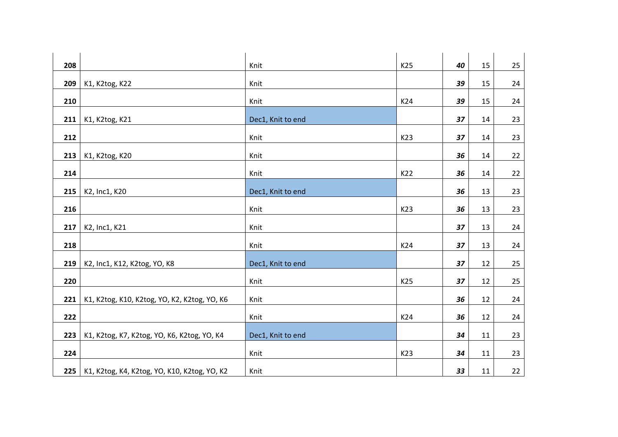| 208 |                                              | Knit              | K25 | 40 | 15 | 25 |
|-----|----------------------------------------------|-------------------|-----|----|----|----|
| 209 | K1, K2tog, K22                               | Knit              |     | 39 | 15 | 24 |
| 210 |                                              | Knit              | K24 | 39 | 15 | 24 |
| 211 | K1, K2tog, K21                               | Dec1, Knit to end |     | 37 | 14 | 23 |
| 212 |                                              | Knit              | K23 | 37 | 14 | 23 |
| 213 | K1, K2tog, K20                               | Knit              |     | 36 | 14 | 22 |
| 214 |                                              | Knit              | K22 | 36 | 14 | 22 |
| 215 | K2, Inc1, K20                                | Dec1, Knit to end |     | 36 | 13 | 23 |
| 216 |                                              | Knit              | K23 | 36 | 13 | 23 |
| 217 | K2, Inc1, K21                                | Knit              |     | 37 | 13 | 24 |
| 218 |                                              | Knit              | K24 | 37 | 13 | 24 |
| 219 | K2, Inc1, K12, K2tog, YO, K8                 | Dec1, Knit to end |     | 37 | 12 | 25 |
| 220 |                                              | Knit              | K25 | 37 | 12 | 25 |
| 221 | K1, K2tog, K10, K2tog, YO, K2, K2tog, YO, K6 | Knit              |     | 36 | 12 | 24 |
| 222 |                                              | Knit              | K24 | 36 | 12 | 24 |
| 223 | K1, K2tog, K7, K2tog, YO, K6, K2tog, YO, K4  | Dec1, Knit to end |     | 34 | 11 | 23 |
| 224 |                                              | Knit              | K23 | 34 | 11 | 23 |
| 225 | K1, K2tog, K4, K2tog, YO, K10, K2tog, YO, K2 | Knit              |     | 33 | 11 | 22 |